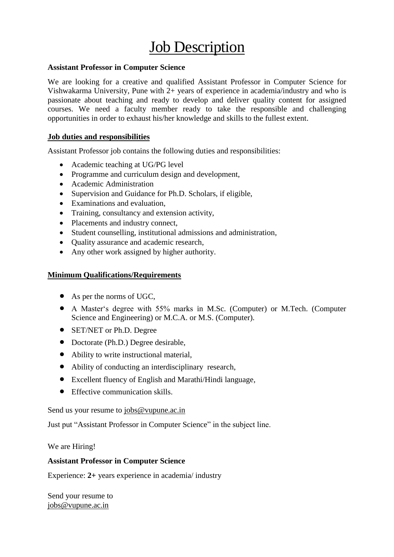# **Job Description**

## **Assistant Professor in Computer Science**

We are looking for a creative and qualified Assistant Professor in Computer Science for Vishwakarma University, Pune with 2+ years of experience in academia/industry and who is passionate about teaching and ready to develop and deliver quality content for assigned courses. We need a faculty member ready to take the responsible and challenging opportunities in order to exhaust his/her knowledge and skills to the fullest extent.

#### **Job duties and responsibilities**

Assistant Professor job contains the following duties and responsibilities:

- Academic teaching at UG/PG level
- Programme and curriculum design and development,
- Academic Administration
- Supervision and Guidance for Ph.D. Scholars, if eligible,
- Examinations and evaluation,
- Training, consultancy and extension activity,
- Placements and industry connect,
- Student counselling, institutional admissions and administration,
- Quality assurance and academic research,
- Any other work assigned by higher authority.

## **Minimum Qualifications/Requirements**

- As per the norms of UGC,
- A Master's degree with 55% marks in M.Sc. (Computer) or M.Tech. (Computer Science and Engineering) or M.C.A. or M.S. (Computer).
- SET/NET or Ph.D. Degree
- Doctorate (Ph.D.) Degree desirable,
- Ability to write instructional material,
- Ability of conducting an interdisciplinary research,
- Excellent fluency of English and Marathi/Hindi language,
- Effective communication skills.

Send us your resume to [jobs@vupune.ac.in](mailto:jobs@vupune.ac.in)

Just put "Assistant Professor in Computer Science" in the subject line.

We are Hiring!

## **Assistant Professor in Computer Science**

Experience: **2+** years experience in academia/ industry

Send your resume to [jobs@vupune.ac.in](mailto:jobs@vupune.ac.in)